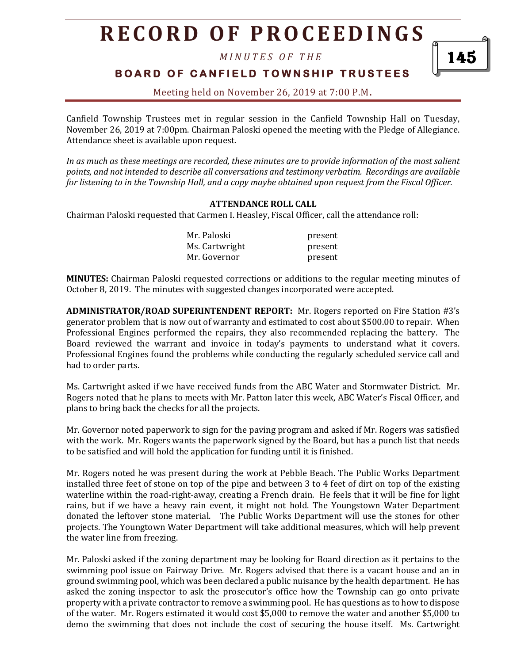*M I N U T E S O F T H E* 

**BOARD OF CANFIELD TOWNSHIP TRUSTEES** 

Meeting held on November 26, 2019 at 7:00 P.M**.**

Canfield Township Trustees met in regular session in the Canfield Township Hall on Tuesday, November 26, 2019 at 7:00pm. Chairman Paloski opened the meeting with the Pledge of Allegiance. Attendance sheet is available upon request.

*In as much as these meetings are recorded, these minutes are to provide information of the most salient points, and not intended to describe all conversations and testimony verbatim. Recordings are available for listening to in the Township Hall, and a copy maybe obtained upon request from the Fiscal Officer.* 

#### **ATTENDANCE ROLL CALL**

Chairman Paloski requested that Carmen I. Heasley, Fiscal Officer, call the attendance roll:

| Mr. Paloski    | present |
|----------------|---------|
| Ms. Cartwright | present |
| Mr. Governor   | present |

**MINUTES:** Chairman Paloski requested corrections or additions to the regular meeting minutes of October 8, 2019. The minutes with suggested changes incorporated were accepted.

**ADMINISTRATOR/ROAD SUPERINTENDENT REPORT:** Mr. Rogers reported on Fire Station #3's generator problem that is now out of warranty and estimated to cost about \$500.00 to repair. When Professional Engines performed the repairs, they also recommended replacing the battery. The Board reviewed the warrant and invoice in today's payments to understand what it covers. Professional Engines found the problems while conducting the regularly scheduled service call and had to order parts.

Ms. Cartwright asked if we have received funds from the ABC Water and Stormwater District. Mr. Rogers noted that he plans to meets with Mr. Patton later this week, ABC Water's Fiscal Officer, and plans to bring back the checks for all the projects.

Mr. Governor noted paperwork to sign for the paving program and asked if Mr. Rogers was satisfied with the work. Mr. Rogers wants the paperwork signed by the Board, but has a punch list that needs to be satisfied and will hold the application for funding until it is finished.

Mr. Rogers noted he was present during the work at Pebble Beach. The Public Works Department installed three feet of stone on top of the pipe and between 3 to 4 feet of dirt on top of the existing waterline within the road-right-away, creating a French drain. He feels that it will be fine for light rains, but if we have a heavy rain event, it might not hold. The Youngstown Water Department donated the leftover stone material. The Public Works Department will use the stones for other projects. The Youngtown Water Department will take additional measures, which will help prevent the water line from freezing.

Mr. Paloski asked if the zoning department may be looking for Board direction as it pertains to the swimming pool issue on Fairway Drive. Mr. Rogers advised that there is a vacant house and an in ground swimming pool, which was been declared a public nuisance by the health department. He has asked the zoning inspector to ask the prosecutor's office how the Township can go onto private property with a private contractor to remove a swimming pool. He has questions as to how to dispose of the water. Mr. Rogers estimated it would cost \$5,000 to remove the water and another \$5,000 to demo the swimming that does not include the cost of securing the house itself. Ms. Cartwright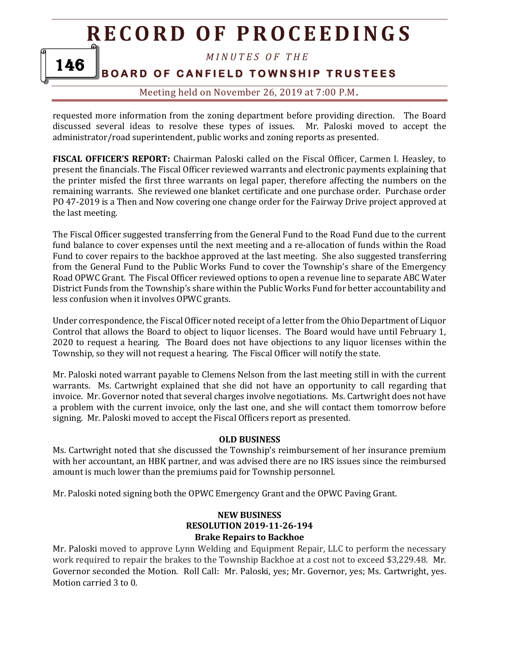*M I N U T E S O F T H E* 

### **BOARD OF CANFIELD TOWNSHIP TRUSTEES**

146

Meeting held on November 26, 2019 at 7:00 P.M**.**

requested more information from the zoning department before providing direction. The Board discussed several ideas to resolve these types of issues. Mr. Paloski moved to accept the administrator/road superintendent, public works and zoning reports as presented.

**FISCAL OFFICER'S REPORT:** Chairman Paloski called on the Fiscal Officer, Carmen I. Heasley, to present the financials. The Fiscal Officer reviewed warrants and electronic payments explaining that the printer misfed the first three warrants on legal paper, therefore affecting the numbers on the remaining warrants. She reviewed one blanket certificate and one purchase order. Purchase order PO 47-2019 is a Then and Now covering one change order for the Fairway Drive project approved at the last meeting.

The Fiscal Officer suggested transferring from the General Fund to the Road Fund due to the current fund balance to cover expenses until the next meeting and a re-allocation of funds within the Road Fund to cover repairs to the backhoe approved at the last meeting. She also suggested transferring from the General Fund to the Public Works Fund to cover the Township's share of the Emergency Road OPWC Grant. The Fiscal Officer reviewed options to open a revenue line to separate ABC Water District Funds from the Township's share within the Public Works Fund for better accountability and less confusion when it involves OPWC grants.

Under correspondence, the Fiscal Officer noted receipt of a letter from the Ohio Department of Liquor Control that allows the Board to object to liquor licenses. The Board would have until February 1, 2020 to request a hearing. The Board does not have objections to any liquor licenses within the Township, so they will not request a hearing. The Fiscal Officer will notify the state.

Mr. Paloski noted warrant payable to Clemens Nelson from the last meeting still in with the current warrants. Ms. Cartwright explained that she did not have an opportunity to call regarding that invoice. Mr. Governor noted that several charges involve negotiations. Ms. Cartwright does not have a problem with the current invoice, only the last one, and she will contact them tomorrow before signing. Mr. Paloski moved to accept the Fiscal Officers report as presented.

#### **OLD BUSINESS**

Ms. Cartwright noted that she discussed the Township's reimbursement of her insurance premium with her accountant, an HBK partner, and was advised there are no IRS issues since the reimbursed amount is much lower than the premiums paid for Township personnel.

Mr. Paloski noted signing both the OPWC Emergency Grant and the OPWC Paving Grant.

#### **NEW BUSINESS RESOLUTION 2019-11-26-194 Brake Repairs to Backhoe**

Mr. Paloski moved to approve Lynn Welding and Equipment Repair, LLC to perform the necessary work required to repair the brakes to the Township Backhoe at a cost not to exceed \$3,229.48. Mr. Governor seconded the Motion. Roll Call: Mr. Paloski, yes; Mr. Governor, yes; Ms. Cartwright, yes. Motion carried 3 to 0.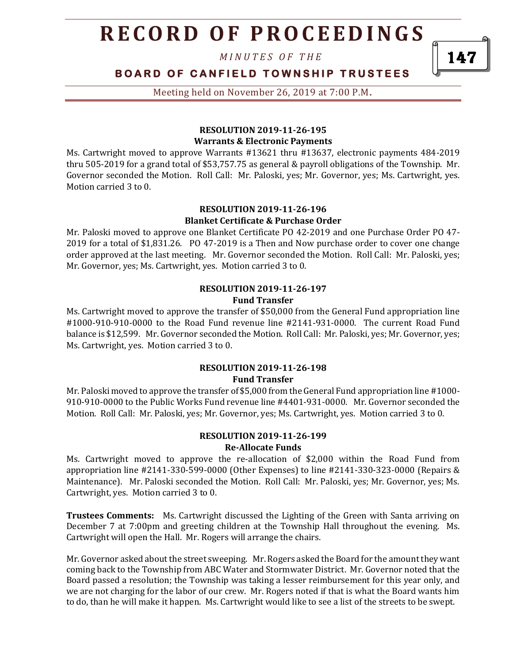*M I N U T E S O F T H E* 

### **BOARD OF CANFIELD TOWNSHIP TRUSTEES**

Meeting held on November 26, 2019 at 7:00 P.M**.**

#### **RESOLUTION 2019-11-26-195 Warrants & Electronic Payments**

Ms. Cartwright moved to approve Warrants #13621 thru #13637, electronic payments 484-2019 thru 505-2019 for a grand total of \$53,757.75 as general & payroll obligations of the Township. Mr. Governor seconded the Motion. Roll Call: Mr. Paloski, yes; Mr. Governor, yes; Ms. Cartwright, yes. Motion carried 3 to 0.

#### **RESOLUTION 2019-11-26-196 Blanket Certificate & Purchase Order**

Mr. Paloski moved to approve one Blanket Certificate PO 42-2019 and one Purchase Order PO 47- 2019 for a total of \$1,831.26. PO 47-2019 is a Then and Now purchase order to cover one change order approved at the last meeting. Mr. Governor seconded the Motion. Roll Call: Mr. Paloski, yes; Mr. Governor, yes; Ms. Cartwright, yes. Motion carried 3 to 0.

#### **RESOLUTION 2019-11-26-197 Fund Transfer**

Ms. Cartwright moved to approve the transfer of \$50,000 from the General Fund appropriation line #1000-910-910-0000 to the Road Fund revenue line #2141-931-0000. The current Road Fund balance is \$12,599. Mr. Governor seconded the Motion. Roll Call: Mr. Paloski, yes; Mr. Governor, yes; Ms. Cartwright, yes. Motion carried 3 to 0.

#### **RESOLUTION 2019-11-26-198 Fund Transfer**

Mr. Paloski moved to approve the transfer of \$5,000 from the General Fund appropriation line #1000- 910-910-0000 to the Public Works Fund revenue line #4401-931-0000. Mr. Governor seconded the Motion. Roll Call: Mr. Paloski, yes; Mr. Governor, yes; Ms. Cartwright, yes. Motion carried 3 to 0.

#### **RESOLUTION 2019-11-26-199 Re-Allocate Funds**

Ms. Cartwright moved to approve the re-allocation of \$2,000 within the Road Fund from appropriation line #2141-330-599-0000 (Other Expenses) to line #2141-330-323-0000 (Repairs & Maintenance). Mr. Paloski seconded the Motion. Roll Call: Mr. Paloski, yes; Mr. Governor, yes; Ms. Cartwright, yes. Motion carried 3 to 0.

**Trustees Comments:** Ms. Cartwright discussed the Lighting of the Green with Santa arriving on December 7 at 7:00pm and greeting children at the Township Hall throughout the evening. Ms. Cartwright will open the Hall. Mr. Rogers will arrange the chairs.

Mr. Governor asked about the street sweeping. Mr. Rogers asked the Board for the amount they want coming back to the Township from ABC Water and Stormwater District. Mr. Governor noted that the Board passed a resolution; the Township was taking a lesser reimbursement for this year only, and we are not charging for the labor of our crew. Mr. Rogers noted if that is what the Board wants him to do, than he will make it happen. Ms. Cartwright would like to see a list of the streets to be swept.

147